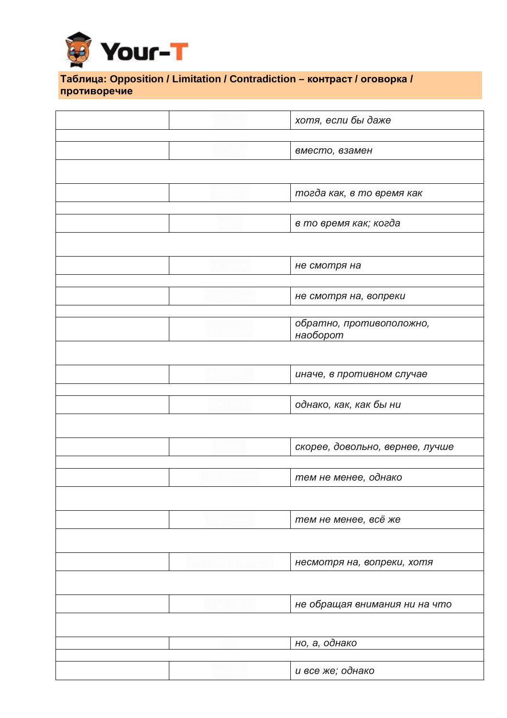

## \_ **Таблица: Opposition / Limitation / Contradiction – контраст / оговорка / противоречие**

|  | хотя, если бы даже              |  |
|--|---------------------------------|--|
|  |                                 |  |
|  | вместо, взамен                  |  |
|  |                                 |  |
|  |                                 |  |
|  | тогда как, в то время как       |  |
|  |                                 |  |
|  | в то время как; когда           |  |
|  |                                 |  |
|  |                                 |  |
|  |                                 |  |
|  | не смотря на                    |  |
|  |                                 |  |
|  | не смотря на, вопреки           |  |
|  |                                 |  |
|  | обратно, противоположно,        |  |
|  | наоборот                        |  |
|  |                                 |  |
|  |                                 |  |
|  | иначе, в противном случае       |  |
|  |                                 |  |
|  | однако, как, как бы ни          |  |
|  |                                 |  |
|  |                                 |  |
|  | скорее, довольно, вернее, лучше |  |
|  |                                 |  |
|  | тем не менее, однако            |  |
|  |                                 |  |
|  |                                 |  |
|  | тем не менее, всё же            |  |
|  |                                 |  |
|  |                                 |  |
|  | несмотря на, вопреки, хотя      |  |
|  |                                 |  |
|  |                                 |  |
|  | не обращая внимания ни на что   |  |
|  |                                 |  |
|  |                                 |  |
|  | но, а, однако                   |  |
|  |                                 |  |
|  | и все же; однако                |  |
|  |                                 |  |